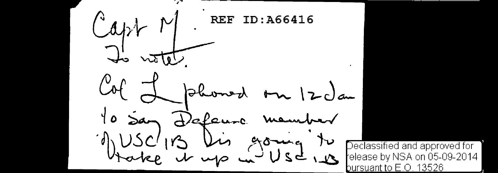$\int d\mu V \frac{N}{L}$ ID:A66416  $Cot \nightharpoonup$  phoned on  $12$  $\mathcal{A}$  $10$   $5a$  Defeure  $\bigcup$   $\bigcup$   $\bigcap$   $\bigcap$   $\bigcap$   $\bigcap$   $\bigcap$   $\bigcap$   $\bigcap$   $\bigcap$   $\bigcap$   $\bigcap$   $\bigcap$   $\bigcap$   $\bigcap$   $\bigcap$   $\bigcap$ on 120 au Utake U up  $\omega$  U sd, Becassined and approved to **bursuant** to E.O. 13526

Declassified and approved for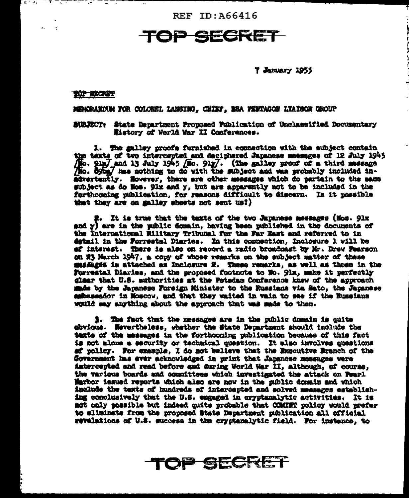REF ID: 466416

## TOP SECRET

T January 1955

### TOP ABCRET

<u> The Communication of the Communication of the Communication of the Communication of the Communication of the Communication of the Communication of the Communication of the Communication of the Communication of the Commun</u>

 $\mathbf{r} = \mathbf{r}$ 

## MEMORANDUM FOR COLOREL LANSING. CHIEF, NSA FENTASON LIAISON GROUP

SUBJECT: State Department Proposed Publication of Unclassified Documentary Mistory of World War II Conferences.

1. The galley proofs furnished in connection with the subject contain the texts of two intercepted and deciphered Japanese measages of 12 July 1945 (No. 91x) and 13 July 1945 (No. 91y). (The galley proof of a third messere 7Ho. 89ba7 has nothing to do with the subject and was probably included inadvertently. However, there are other messages which do partain to the same subject as do Nos. 91x and y, but are apparently not to be included in the forthcoming publication, for reasons difficult to discern. Is it possible that they are on galley sheets not sent us?)

2. It is true that the texts of the two Japanese messages (Nos. 91x and y) are in the sublic domain, having been published in the documents of the International Military Tribunal for the Far East and referred to in detmil in the Forrestal Diaries. In this connection, Inclosure 1 will be of interest. There is also on record a radio broadcast by Mr. Drew Pearson on 23 March 1947, a copy of whose remarks on the subject matter of these mediates is attached as Inclosure 2. These remarks, as well as those in the Furrestal Diaries, and the proposed footnote to No. 91x, make it perfectly clear that U.S. authorities at the Potedam Conference knew of the approach made by the Japanese Foreign Minister to the Russians via Sato, the Japanese subeseador in Moscow, and that they waited in vain to see if the Russians would say anything about the approach that una made to them.

3. The fact that the messages are in the public domain is quite cbvious. Nevertheless, whether the State Department should include the texts of the massages in the forthcoming publication because of this fact is not alone a security or technical question. It also involves questions of policy. For example, I do not believe that the Executive Branch of the Government has ever acknowledged in print that Japanese messages were intercepted and read before and during World War II, although, of course, the various boards and committees which investigated the attack on Fearl Marbor issued reports which also are now in the public domain and which include the texts of hundreds of intercepted and solved messages establishing conclusively that the U.S. engaged in cryptanalytic activities. It is met only possible but indeed quite probable that COMINT policy would prefer to eliminate from the proposed State Department publication all official revelations of U.S. success in the cryptanalytic field. For instance, to

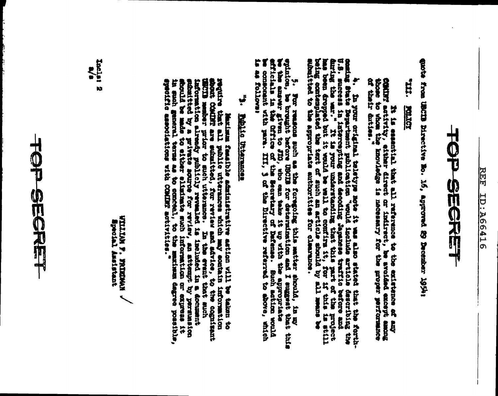# **TOP SEGRET**

quote from USCID Directive Ro. 16, approved 33 December 1954;

III. **RAIDER** 

CMINT activity, elther direct or indirect, he avoided except among<br>those to whom the knowledge is nacessary for the proper performance<br>of their duties." It is essential that all reference to the existence of any

4. In your original teleform spie it was also stated that for forth-<br>Gemile State Negariant publication "would include article describing the<br>disting the war." It is your understanding that this part of the youther<br>has bee

opinion, be brought such as the foregoing this mutter should, in my this my that the coronal states of the state of the state of the state of the bare of the state of the state of the state of the state of the state of the **SA AN TOILOTS!** 

## ť the Utternances

Mequire that all phating for administrative action vill be taken to appoint to the since the state of phating are subside utterated, for review with each the cognitant and since all phating are subsided, for review and adv

**NOWERS 4 NOTICE** Epecial Ameletant

 $\frac{1}{2}$   $\frac{1}{2}$   $\frac{1}{2}$ 

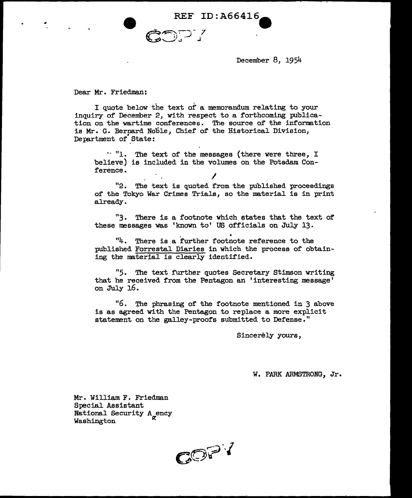

December 8, 1954

Dear Mr. Friedman:

I quote below the text of a memorandum relating to your inquiry of December 2, with respect to a forthcoming publication on the wartime conferences. The source of the information is Mr. G. Bernard Noble, Chief of the Historical Division, Department of State:

 $\cdot \cdot$  "1. The text of the messages (there were three, I believe) is included in the volumes on the Potsdam Conference. I

"2. The text is quoted from the published proceedings of the Tokyo War Crimes Trials, so the material is in print already.

"3. There is a footnote which states that the text of these messages was 'known to' US officials on July 13.

 $"4$ . There is a further footnote reference to the published Forrestal Diaries in which the process of obtaining the material is clearly identified.

"5. The text further quotes Secretary Stimson writing that he received from the Pentagon an 'interesting message' on July 16.

"6. The phrasing of the footnote mentioned in 3 above is as agreed with the Pentagon to replace a more explicit statement on the galley-proofs submitted to Defense."

Sincerely yours,

W. PARK ARMSTRONG, Jr.

Mr. William F. Friedman Special Assistant National Security A<sub>g</sub>ency Washington <sup>~</sup>

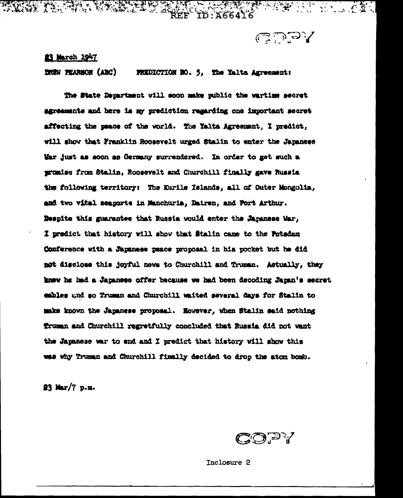## 23 March 2947

TARA ALAMANYA YA KATIFATI YA KUTOKA TA SHI

**EREW PEARSON (ABC)** PREDICTION NO. 5, The Yalta Agreement:

ID: A66416

The State Department will soon make public the wartine secret agreements and here is my prediction regarding one important secret affecting the peace of the world. The Yalta Agreement, I predict, will show that Franklin Roosevelt urged Stalin to enter the Japanese War just as soon as Germany surrendered. In order to get such a promise from Stalin, Roosevelt and Churchill finally gave Russia the following territory: The Kurile Islands, all of Outer Mongolia, and two vital seaports in Manchuria, Dairen, and Port Arthur. Bespite this guarantee that Russia would enter the Jaranese Mar. I predict that history will show that Stalin came to the Potsdam Conference with a Japanese peace proposal in his pocket but he did not disclose this joyful nows to Churchill and Truman. Actually, they knew he had a Japanese offer because we had been decoding Japan's secret cables and so Truman and Churchill waited several days for Stalin to make known the Japanese proposal. However, when Stalin said nothing Truman and Churchill regretfully concluded that Russia did not want the Japanese war to end and I predict that history will show this was why Truman and Churchill finally decided to drop the atom bomb.

23 Mar/7 p.m.

COPY

CODY

Inclosure 2